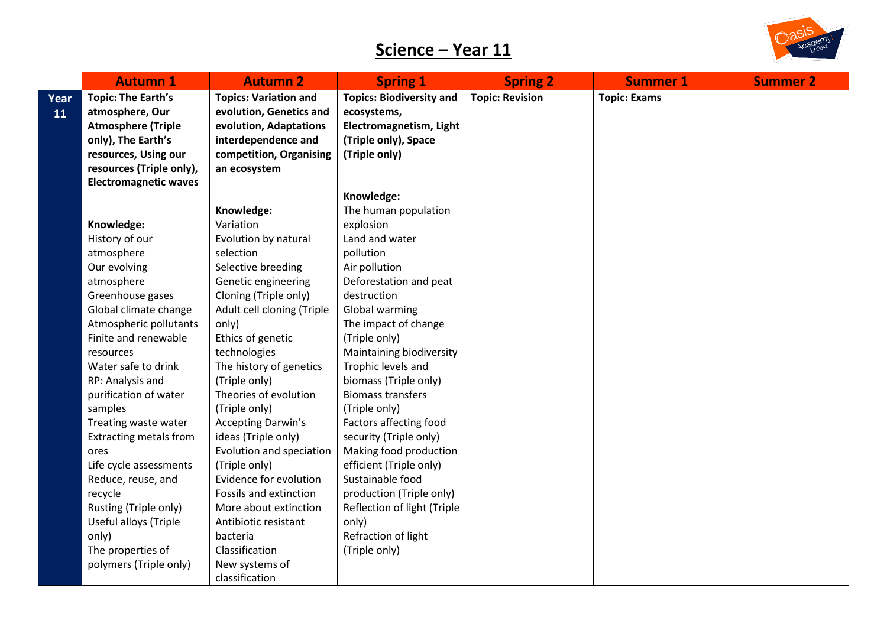

|      | <b>Autumn 1</b>               | <b>Autumn 2</b>              | <b>Spring 1</b>                 | <b>Spring 2</b>        | <b>Summer 1</b>     | <b>Summer 2</b> |
|------|-------------------------------|------------------------------|---------------------------------|------------------------|---------------------|-----------------|
| Year | <b>Topic: The Earth's</b>     | <b>Topics: Variation and</b> | <b>Topics: Biodiversity and</b> | <b>Topic: Revision</b> | <b>Topic: Exams</b> |                 |
| 11   | atmosphere, Our               | evolution, Genetics and      | ecosystems,                     |                        |                     |                 |
|      | <b>Atmosphere (Triple</b>     | evolution, Adaptations       | Electromagnetism, Light         |                        |                     |                 |
|      | only), The Earth's            | interdependence and          | (Triple only), Space            |                        |                     |                 |
|      | resources, Using our          | competition, Organising      | (Triple only)                   |                        |                     |                 |
|      | resources (Triple only),      | an ecosystem                 |                                 |                        |                     |                 |
|      | <b>Electromagnetic waves</b>  |                              |                                 |                        |                     |                 |
|      |                               |                              | Knowledge:                      |                        |                     |                 |
|      |                               | Knowledge:                   | The human population            |                        |                     |                 |
|      | Knowledge:                    | Variation                    | explosion                       |                        |                     |                 |
|      | History of our                | Evolution by natural         | Land and water                  |                        |                     |                 |
|      | atmosphere                    | selection                    | pollution                       |                        |                     |                 |
|      | Our evolving                  | Selective breeding           | Air pollution                   |                        |                     |                 |
|      | atmosphere                    | Genetic engineering          | Deforestation and peat          |                        |                     |                 |
|      | Greenhouse gases              | Cloning (Triple only)        | destruction                     |                        |                     |                 |
|      | Global climate change         | Adult cell cloning (Triple   | Global warming                  |                        |                     |                 |
|      | Atmospheric pollutants        | only)                        | The impact of change            |                        |                     |                 |
|      | Finite and renewable          | Ethics of genetic            | (Triple only)                   |                        |                     |                 |
|      | resources                     | technologies                 | Maintaining biodiversity        |                        |                     |                 |
|      | Water safe to drink           | The history of genetics      | Trophic levels and              |                        |                     |                 |
|      | RP: Analysis and              | (Triple only)                | biomass (Triple only)           |                        |                     |                 |
|      | purification of water         | Theories of evolution        | <b>Biomass transfers</b>        |                        |                     |                 |
|      | samples                       | (Triple only)                | (Triple only)                   |                        |                     |                 |
|      | Treating waste water          | <b>Accepting Darwin's</b>    | Factors affecting food          |                        |                     |                 |
|      | <b>Extracting metals from</b> | ideas (Triple only)          | security (Triple only)          |                        |                     |                 |
|      | ores                          | Evolution and speciation     | Making food production          |                        |                     |                 |
|      | Life cycle assessments        | (Triple only)                | efficient (Triple only)         |                        |                     |                 |
|      | Reduce, reuse, and            | Evidence for evolution       | Sustainable food                |                        |                     |                 |
|      | recycle                       | Fossils and extinction       | production (Triple only)        |                        |                     |                 |
|      | Rusting (Triple only)         | More about extinction        | Reflection of light (Triple     |                        |                     |                 |
|      | Useful alloys (Triple         | Antibiotic resistant         | only)                           |                        |                     |                 |
|      | only)                         | bacteria<br>Classification   | Refraction of light             |                        |                     |                 |
|      | The properties of             |                              | (Triple only)                   |                        |                     |                 |
|      | polymers (Triple only)        | New systems of               |                                 |                        |                     |                 |
|      |                               | classification               |                                 |                        |                     |                 |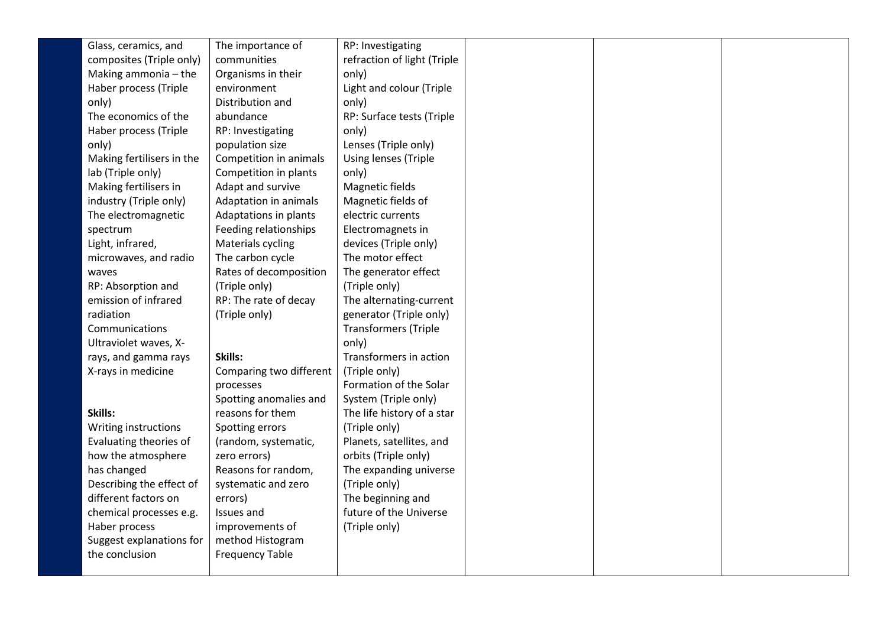| Glass, ceramics, and      | The importance of       | RP: Investigating           |  |  |
|---------------------------|-------------------------|-----------------------------|--|--|
| composites (Triple only)  | communities             | refraction of light (Triple |  |  |
| Making ammonia - the      | Organisms in their      | only)                       |  |  |
| Haber process (Triple     | environment             | Light and colour (Triple    |  |  |
| only)                     | Distribution and        | only)                       |  |  |
| The economics of the      | abundance               | RP: Surface tests (Triple   |  |  |
| Haber process (Triple     | RP: Investigating       | only)                       |  |  |
| only)                     | population size         | Lenses (Triple only)        |  |  |
| Making fertilisers in the | Competition in animals  | Using lenses (Triple        |  |  |
| lab (Triple only)         | Competition in plants   | only)                       |  |  |
| Making fertilisers in     | Adapt and survive       | Magnetic fields             |  |  |
| industry (Triple only)    | Adaptation in animals   | Magnetic fields of          |  |  |
| The electromagnetic       | Adaptations in plants   | electric currents           |  |  |
| spectrum                  | Feeding relationships   | Electromagnets in           |  |  |
| Light, infrared,          | Materials cycling       | devices (Triple only)       |  |  |
| microwaves, and radio     | The carbon cycle        | The motor effect            |  |  |
| waves                     | Rates of decomposition  | The generator effect        |  |  |
| RP: Absorption and        | (Triple only)           | (Triple only)               |  |  |
| emission of infrared      | RP: The rate of decay   | The alternating-current     |  |  |
| radiation                 | (Triple only)           | generator (Triple only)     |  |  |
| Communications            |                         | <b>Transformers (Triple</b> |  |  |
| Ultraviolet waves, X-     |                         | only)                       |  |  |
| rays, and gamma rays      | Skills:                 | Transformers in action      |  |  |
| X-rays in medicine        | Comparing two different | (Triple only)               |  |  |
|                           | processes               | Formation of the Solar      |  |  |
|                           | Spotting anomalies and  | System (Triple only)        |  |  |
| Skills:                   | reasons for them        | The life history of a star  |  |  |
| Writing instructions      | Spotting errors         | (Triple only)               |  |  |
| Evaluating theories of    | (random, systematic,    | Planets, satellites, and    |  |  |
| how the atmosphere        | zero errors)            | orbits (Triple only)        |  |  |
| has changed               | Reasons for random,     | The expanding universe      |  |  |
| Describing the effect of  | systematic and zero     | (Triple only)               |  |  |
| different factors on      | errors)                 | The beginning and           |  |  |
| chemical processes e.g.   | Issues and              | future of the Universe      |  |  |
| Haber process             | improvements of         | (Triple only)               |  |  |
| Suggest explanations for  | method Histogram        |                             |  |  |
| the conclusion            | <b>Frequency Table</b>  |                             |  |  |
|                           |                         |                             |  |  |